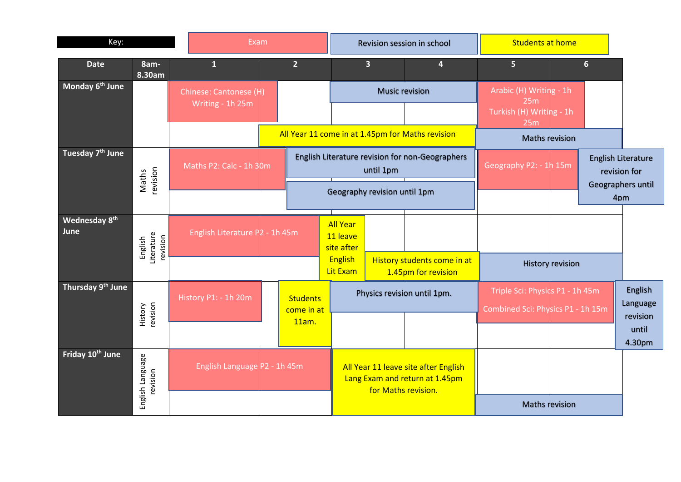| Key:                                                       |                                              |  | Exam                           |  |                               |                                           | Revision session in school                                             | <b>Students at home</b>                            |                                                                      |  |   |                                           |
|------------------------------------------------------------|----------------------------------------------|--|--------------------------------|--|-------------------------------|-------------------------------------------|------------------------------------------------------------------------|----------------------------------------------------|----------------------------------------------------------------------|--|---|-------------------------------------------|
| <b>Date</b>                                                | 8am-<br>8.30am                               |  | $\mathbf{1}$                   |  | 2 <sup>1</sup>                |                                           | $\overline{\mathbf{3}}$                                                | 4                                                  | 5 <sub>5</sub>                                                       |  | 6 |                                           |
| Monday 6 <sup>th</sup> June                                | Chinese: Cantonese (H)<br>Writing - 1h 25m   |  |                                |  |                               | <b>Music revision</b>                     |                                                                        | Arabic (H) Writing - 1h<br>25m                     |                                                                      |  |   |                                           |
|                                                            |                                              |  |                                |  |                               |                                           |                                                                        |                                                    | Turkish (H) Writing - 1h<br>25m                                      |  |   |                                           |
|                                                            |                                              |  |                                |  |                               |                                           |                                                                        | All Year 11 come in at 1.45pm for Maths revision   | <b>Maths revision</b>                                                |  |   |                                           |
| Tuesday 7 <sup>th</sup> June                               | Maths P2: Calc - 1h 30m<br>revision<br>Maths |  |                                |  |                               |                                           | until 1pm                                                              | English Literature revision for non-Geographers    | Geography P2: - 1h 15m                                               |  |   | <b>English Literature</b><br>revision for |
|                                                            |                                              |  |                                |  |                               | Geography revision until 1pm              |                                                                        |                                                    |                                                                      |  |   | Geographers until<br>4pm                  |
| Wednesday 8th<br>June<br>Literature<br>revision<br>English |                                              |  | English Literature P2 - 1h 45m |  |                               | <b>All Year</b><br>11 leave<br>site after |                                                                        |                                                    |                                                                      |  |   |                                           |
|                                                            |                                              |  |                                |  |                               | <b>English</b><br>Lit Exam                |                                                                        | History students come in at<br>1.45pm for revision | <b>History revision</b>                                              |  |   |                                           |
| Thursday 9th June                                          |                                              |  | History P1: - 1h 20m           |  | <b>Students</b><br>come in at |                                           | Physics revision until 1pm.                                            |                                                    | Triple Sci: Physics P1 - 1h 45m<br>Combined Sci: Physics P1 - 1h 15m |  |   | English<br>Language                       |
|                                                            | History<br>revision                          |  |                                |  | 11am.                         |                                           |                                                                        |                                                    |                                                                      |  |   | revision<br>until<br>4.30pm               |
| Friday 10 <sup>th</sup> June                               | English Language<br>revision                 |  | English Language P2 - 1h 45m   |  |                               |                                           | All Year 11 leave site after English<br>Lang Exam and return at 1.45pm |                                                    |                                                                      |  |   |                                           |
|                                                            |                                              |  |                                |  |                               |                                           | for Maths revision.                                                    |                                                    | <b>Maths revision</b>                                                |  |   |                                           |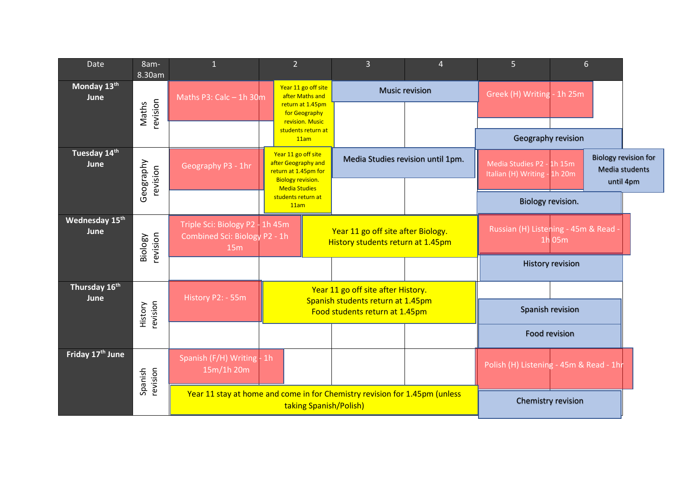| Date                         | 8am-<br>8.30am        | $\mathbf{1}$                                                                   |                | $\overline{2}$                                                                                 | $\overline{3}$                                                                                            | $\overline{4}$                               | 5                                                         |                         | $6 \overline{6}$ |                                                                   |
|------------------------------|-----------------------|--------------------------------------------------------------------------------|----------------|------------------------------------------------------------------------------------------------|-----------------------------------------------------------------------------------------------------------|----------------------------------------------|-----------------------------------------------------------|-------------------------|------------------|-------------------------------------------------------------------|
| Monday 13th<br>June          | revision<br>Maths     | Maths P3: Calc $-$ 1h 30m                                                      |                | Year 11 go off site<br>after Maths and<br>return at 1.45pm<br>for Geography<br>revision. Music |                                                                                                           | <b>Music revision</b>                        | Greek (H) Writing                                         | $-1h25m$                |                  |                                                                   |
|                              |                       |                                                                                |                | students return at<br>11am                                                                     |                                                                                                           |                                              | Geography revision                                        |                         |                  |                                                                   |
| Tuesday 14th<br>June         | Geography<br>revision | Geography P3 - 1hr                                                             |                | Year 11 go off site<br>after Geography and<br>return at 1.45pm for<br><b>Biology revision.</b> | Media Studies revision until 1pm.                                                                         |                                              | Media Studies P2 - 1h 15m<br>Italian (H) Writing - 1h 20m |                         |                  | <b>Biology revision for</b><br><b>Media students</b><br>until 4pm |
|                              |                       |                                                                                |                | <b>Media Studies</b><br>students return at<br>11am                                             |                                                                                                           |                                              | Biology revision.                                         |                         |                  |                                                                   |
| Wednesday 15th<br>June       | revision<br>Biology   | Triple Sci: Biology P2 - 1h 45m<br><b>Combined Sci: Biology P2 - 1h</b><br>15m |                |                                                                                                | Year 11 go off site after Biology.<br>History students return at 1.45pm                                   | Russian (H) Listening - 45m & Read<br>1h 05m |                                                           |                         |                  |                                                                   |
|                              |                       |                                                                                |                |                                                                                                |                                                                                                           |                                              |                                                           | <b>History revision</b> |                  |                                                                   |
| Thursday 16th<br>June        |                       | History P2: - 55m                                                              |                |                                                                                                | Year 11 go off site after History.<br>Spanish students return at 1.45pm<br>Food students return at 1.45pm |                                              |                                                           |                         |                  |                                                                   |
|                              | revision<br>History   |                                                                                |                |                                                                                                |                                                                                                           |                                              | Spanish revision                                          |                         |                  |                                                                   |
|                              |                       |                                                                                |                |                                                                                                |                                                                                                           |                                              | <b>Food revision</b>                                      |                         |                  |                                                                   |
| Friday 17 <sup>th</sup> June | revision<br>Spanish   | Spanish (F/H) Writing<br>15m/1h 20m                                            | 1 <sub>h</sub> |                                                                                                |                                                                                                           |                                              | Polish (H) Listening - 45m & Read - 1hr                   |                         |                  |                                                                   |
|                              |                       | Year 11 stay at home and come in for Chemistry revision for 1.45pm (unless     |                | taking Spanish/Polish)                                                                         |                                                                                                           | Chemistry revision                           |                                                           |                         |                  |                                                                   |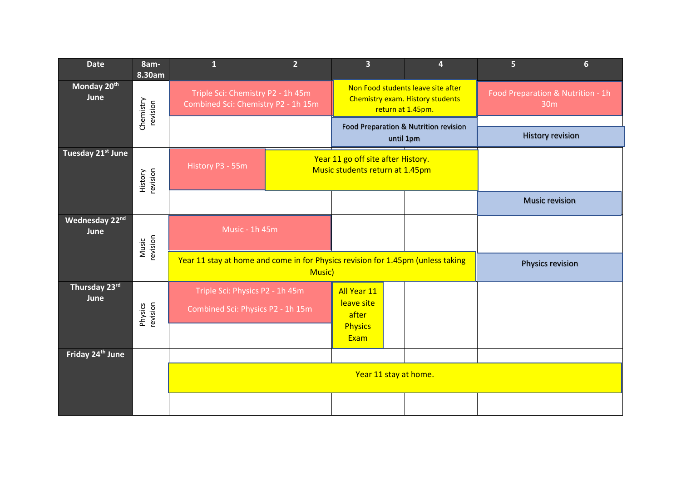| <b>Date</b>                     | 8am-<br>8.30am        | $\overline{\mathbf{1}}$                                                         | $\overline{2}$ | $\overline{\mathbf{3}}$                                               | 4                                                                                           | $\overline{5}$                                       | $6\phantom{1}$          |  |
|---------------------------------|-----------------------|---------------------------------------------------------------------------------|----------------|-----------------------------------------------------------------------|---------------------------------------------------------------------------------------------|------------------------------------------------------|-------------------------|--|
| Monday 20 <sup>th</sup><br>June | Chemistry<br>revision | Triple Sci: Chemistry P2 - 1h 45m<br>Combined Sci: Chemistry P2 - 1h 15m        |                |                                                                       | Non Food students leave site after<br>Chemistry exam. History students<br>return at 1.45pm. | Food Preparation & Nutrition - 1h<br>30 <sub>m</sub> |                         |  |
|                                 |                       |                                                                                 |                |                                                                       | Food Preparation & Nutrition revision<br>until 1pm                                          |                                                      | <b>History revision</b> |  |
| Tuesday 21st June               | History<br>revision   | History P3 - 55m                                                                |                | Year 11 go off site after History.<br>Music students return at 1.45pm |                                                                                             |                                                      |                         |  |
|                                 |                       |                                                                                 |                |                                                                       |                                                                                             | <b>Music revision</b>                                |                         |  |
| Wednesday 22nd<br>June          | Music<br>revision     | Music - 1h 45m                                                                  |                |                                                                       |                                                                                             |                                                      |                         |  |
|                                 |                       | Year 11 stay at home and come in for Physics revision for 1.45pm (unless taking | Music)         |                                                                       |                                                                                             | Physics revision                                     |                         |  |
| Thursday 23rd<br>June           | Physics<br>revision   | Triple Sci: Physics P2 - 1h 45m<br>Combined Sci: Physics P2 - 1h 15m            |                | All Year 11<br>leave site<br>after<br><b>Physics</b><br>Exam          |                                                                                             |                                                      |                         |  |
| Friday 24 <sup>th</sup> June    |                       |                                                                                 |                |                                                                       |                                                                                             |                                                      |                         |  |
|                                 |                       |                                                                                 |                |                                                                       |                                                                                             |                                                      |                         |  |
|                                 |                       |                                                                                 |                |                                                                       |                                                                                             |                                                      |                         |  |